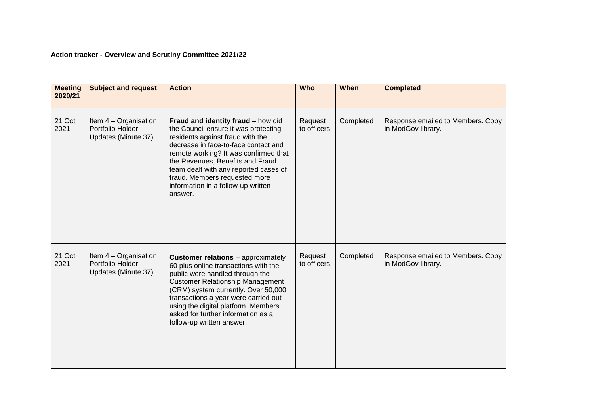## **Action tracker - Overview and Scrutiny Committee 2021/22**

| <b>Meeting</b><br>2020/21 | <b>Subject and request</b>                                         | <b>Action</b>                                                                                                                                                                                                                                                                                                                                                  | <b>Who</b>             | When      | <b>Completed</b>                                        |
|---------------------------|--------------------------------------------------------------------|----------------------------------------------------------------------------------------------------------------------------------------------------------------------------------------------------------------------------------------------------------------------------------------------------------------------------------------------------------------|------------------------|-----------|---------------------------------------------------------|
| 21 Oct<br>2021            | Item $4 -$ Organisation<br>Portfolio Holder<br>Updates (Minute 37) | Fraud and identity fraud - how did<br>the Council ensure it was protecting<br>residents against fraud with the<br>decrease in face-to-face contact and<br>remote working? It was confirmed that<br>the Revenues, Benefits and Fraud<br>team dealt with any reported cases of<br>fraud. Members requested more<br>information in a follow-up written<br>answer. | Request<br>to officers | Completed | Response emailed to Members. Copy<br>in ModGov library. |
| 21 Oct<br>2021            | Item 4 - Organisation<br>Portfolio Holder<br>Updates (Minute 37)   | <b>Customer relations</b> - approximately<br>60 plus online transactions with the<br>public were handled through the<br><b>Customer Relationship Management</b><br>(CRM) system currently. Over 50,000<br>transactions a year were carried out<br>using the digital platform. Members<br>asked for further information as a<br>follow-up written answer.       | Request<br>to officers | Completed | Response emailed to Members. Copy<br>in ModGov library. |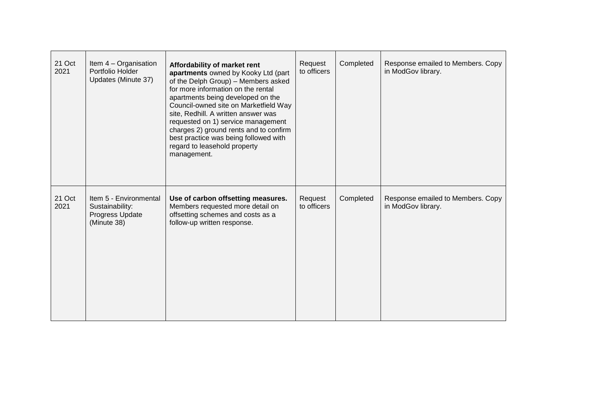| 21 Oct<br>2021 | Item 4 - Organisation<br>Portfolio Holder<br>Updates (Minute 37)            | Affordability of market rent<br>apartments owned by Kooky Ltd (part<br>of the Delph Group) - Members asked<br>for more information on the rental<br>apartments being developed on the<br>Council-owned site on Marketfield Way<br>site, Redhill. A written answer was<br>requested on 1) service management<br>charges 2) ground rents and to confirm<br>best practice was being followed with<br>regard to leasehold property<br>management. | Request<br>to officers | Completed | Response emailed to Members. Copy<br>in ModGov library. |
|----------------|-----------------------------------------------------------------------------|-----------------------------------------------------------------------------------------------------------------------------------------------------------------------------------------------------------------------------------------------------------------------------------------------------------------------------------------------------------------------------------------------------------------------------------------------|------------------------|-----------|---------------------------------------------------------|
| 21 Oct<br>2021 | Item 5 - Environmental<br>Sustainability:<br>Progress Update<br>(Minute 38) | Use of carbon offsetting measures.<br>Members requested more detail on<br>offsetting schemes and costs as a<br>follow-up written response.                                                                                                                                                                                                                                                                                                    | Request<br>to officers | Completed | Response emailed to Members. Copy<br>in ModGov library. |